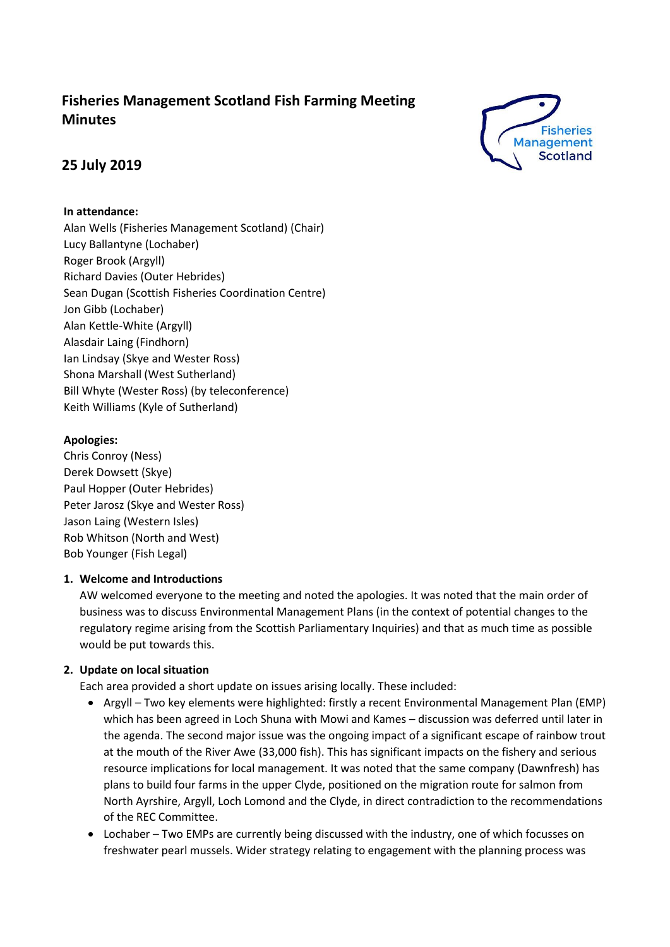# **Fisheries Management Scotland Fish Farming Meeting Minutes**



# **25 July 2019**

## **In attendance:**

Alan Wells (Fisheries Management Scotland) (Chair) Lucy Ballantyne (Lochaber) Roger Brook (Argyll) Richard Davies (Outer Hebrides) Sean Dugan (Scottish Fisheries Coordination Centre) Jon Gibb (Lochaber) Alan Kettle-White (Argyll) Alasdair Laing (Findhorn) Ian Lindsay (Skye and Wester Ross) Shona Marshall (West Sutherland) Bill Whyte (Wester Ross) (by teleconference) Keith Williams (Kyle of Sutherland)

## **Apologies:**

Chris Conroy (Ness) Derek Dowsett (Skye) Paul Hopper (Outer Hebrides) Peter Jarosz (Skye and Wester Ross) Jason Laing (Western Isles) Rob Whitson (North and West) Bob Younger (Fish Legal)

## **1. Welcome and Introductions**

AW welcomed everyone to the meeting and noted the apologies. It was noted that the main order of business was to discuss Environmental Management Plans (in the context of potential changes to the regulatory regime arising from the Scottish Parliamentary Inquiries) and that as much time as possible would be put towards this.

## **2. Update on local situation**

Each area provided a short update on issues arising locally. These included:

- Argyll Two key elements were highlighted: firstly a recent Environmental Management Plan (EMP) which has been agreed in Loch Shuna with Mowi and Kames – discussion was deferred until later in the agenda. The second major issue was the ongoing impact of a significant escape of rainbow trout at the mouth of the River Awe (33,000 fish). This has significant impacts on the fishery and serious resource implications for local management. It was noted that the same company (Dawnfresh) has plans to build four farms in the upper Clyde, positioned on the migration route for salmon from North Ayrshire, Argyll, Loch Lomond and the Clyde, in direct contradiction to the recommendations of the REC Committee.
- Lochaber Two EMPs are currently being discussed with the industry, one of which focusses on freshwater pearl mussels. Wider strategy relating to engagement with the planning process was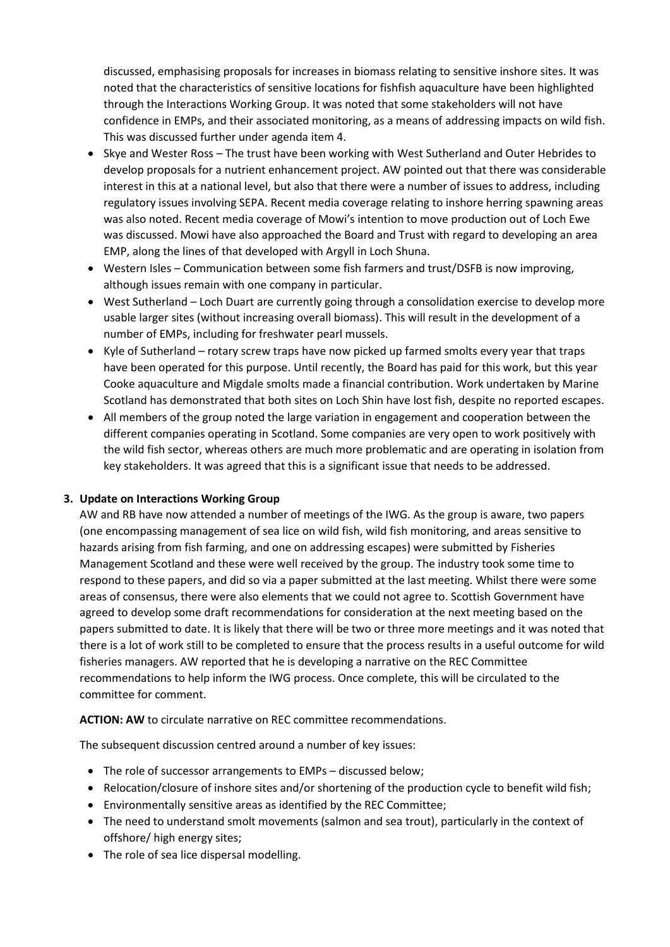discussed, emphasising proposals for increases in biomass relating to sensitive inshore sites. It was noted that the characteristics of sensitive locations for fishfish aquaculture have been highlighted through the Interactions Working Group. It was noted that some stakeholders will not have confidence in EMPs, and their associated monitoring, as a means of addressing impacts on wild fish. This was discussed further under agenda item 4.

- Skye and Wester Ross The trust have been working with West Sutherland and Outer Hebrides to develop proposals for a nutrient enhancement project. AW pointed out that there was considerable interest in this at a national level, but also that there were a number of issues to address, including regulatory issues involving SEPA. Recent media coverage relating to inshore herring spawning areas was also noted. Recent media coverage of Mowi's intention to move production out of Loch Ewe was discussed. Mowi have also approached the Board and Trust with regard to developing an area EMP, along the lines of that developed with Argyll in Loch Shuna.
- Western Isles Communication between some fish farmers and trust/DSFB is now improving, although issues remain with one company in particular.
- West Sutherland Loch Duart are currently going through a consolidation exercise to develop more usable larger sites (without increasing overall biomass). This will result in the development of a number of EMPs, including for freshwater pearl mussels.
- Kyle of Sutherland rotary screw traps have now picked up farmed smolts every year that traps have been operated for this purpose. Until recently, the Board has paid for this work, but this year Cooke aquaculture and Migdale smolts made a financial contribution. Work undertaken by Marine Scotland has demonstrated that both sites on Loch Shin have lost fish, despite no reported escapes.
- All members of the group noted the large variation in engagement and cooperation between the different companies operating in Scotland. Some companies are very open to work positively with the wild fish sector, whereas others are much more problematic and are operating in isolation from key stakeholders. It was agreed that this is a significant issue that needs to be addressed.

#### **3. Update on Interactions Working Group**

AW and RB have now attended a number of meetings of the IWG. As the group is aware, two papers (one encompassing management of sea lice on wild fish, wild fish monitoring, and areas sensitive to hazards arising from fish farming, and one on addressing escapes) were submitted by Fisheries Management Scotland and these were well received by the group. The industry took some time to respond to these papers, and did so via a paper submitted at the last meeting. Whilst there were some areas of consensus, there were also elements that we could not agree to. Scottish Government have agreed to develop some draft recommendations for consideration at the next meeting based on the papers submitted to date. It is likely that there will be two or three more meetings and it was noted that there is a lot of work still to be completed to ensure that the process results in a useful outcome for wild fisheries managers. AW reported that he is developing a narrative on the REC Committee recommendations to help inform the IWG process. Once complete, this will be circulated to the committee for comment.

#### **ACTION: AW** to circulate narrative on REC committee recommendations.

The subsequent discussion centred around a number of key issues:

- The role of successor arrangements to EMPs discussed below;
- Relocation/closure of inshore sites and/or shortening of the production cycle to benefit wild fish;
- Environmentally sensitive areas as identified by the REC Committee;
- The need to understand smolt movements (salmon and sea trout), particularly in the context of offshore/ high energy sites;
- The role of sea lice dispersal modelling.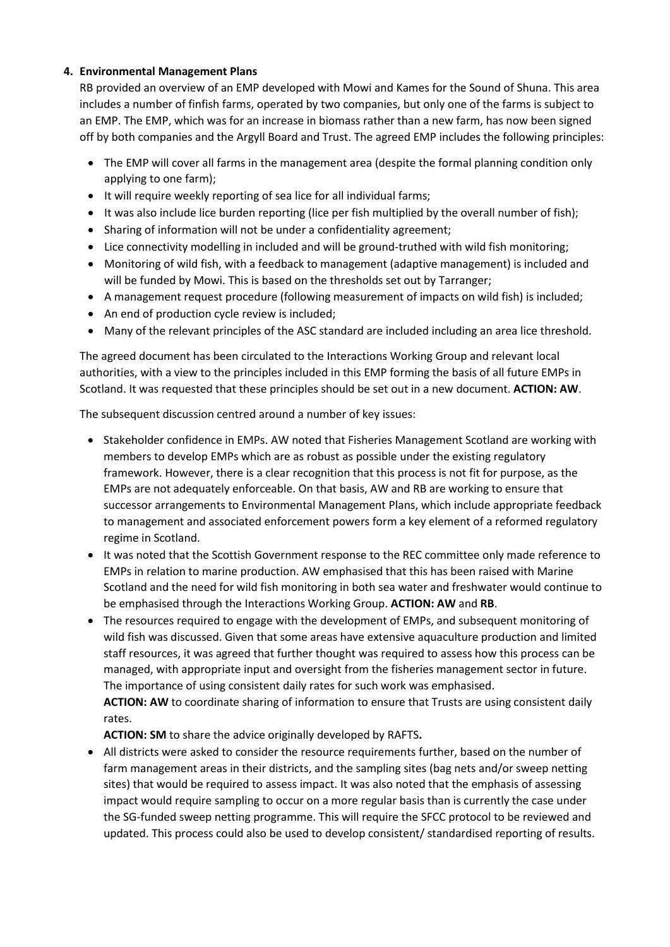## **4. Environmental Management Plans**

RB provided an overview of an EMP developed with Mowi and Kames for the Sound of Shuna. This area includes a number of finfish farms, operated by two companies, but only one of the farms is subject to an EMP. The EMP, which was for an increase in biomass rather than a new farm, has now been signed off by both companies and the Argyll Board and Trust. The agreed EMP includes the following principles:

- The EMP will cover all farms in the management area (despite the formal planning condition only applying to one farm);
- It will require weekly reporting of sea lice for all individual farms;
- It was also include lice burden reporting (lice per fish multiplied by the overall number of fish);
- Sharing of information will not be under a confidentiality agreement;
- Lice connectivity modelling in included and will be ground-truthed with wild fish monitoring;
- Monitoring of wild fish, with a feedback to management (adaptive management) is included and will be funded by Mowi. This is based on the thresholds set out by Tarranger;
- A management request procedure (following measurement of impacts on wild fish) is included;
- An end of production cycle review is included;
- Many of the relevant principles of the ASC standard are included including an area lice threshold.

The agreed document has been circulated to the Interactions Working Group and relevant local authorities, with a view to the principles included in this EMP forming the basis of all future EMPs in Scotland. It was requested that these principles should be set out in a new document. **ACTION: AW**.

The subsequent discussion centred around a number of key issues:

- Stakeholder confidence in EMPs. AW noted that Fisheries Management Scotland are working with members to develop EMPs which are as robust as possible under the existing regulatory framework. However, there is a clear recognition that this process is not fit for purpose, as the EMPs are not adequately enforceable. On that basis, AW and RB are working to ensure that successor arrangements to Environmental Management Plans, which include appropriate feedback to management and associated enforcement powers form a key element of a reformed regulatory regime in Scotland.
- It was noted that the Scottish Government response to the REC committee only made reference to EMPs in relation to marine production. AW emphasised that this has been raised with Marine Scotland and the need for wild fish monitoring in both sea water and freshwater would continue to be emphasised through the Interactions Working Group. **ACTION: AW** and **RB**.
- The resources required to engage with the development of EMPs, and subsequent monitoring of wild fish was discussed. Given that some areas have extensive aquaculture production and limited staff resources, it was agreed that further thought was required to assess how this process can be managed, with appropriate input and oversight from the fisheries management sector in future. The importance of using consistent daily rates for such work was emphasised.

**ACTION: AW** to coordinate sharing of information to ensure that Trusts are using consistent daily rates.

**ACTION: SM** to share the advice originally developed by RAFTS**.**

• All districts were asked to consider the resource requirements further, based on the number of farm management areas in their districts, and the sampling sites (bag nets and/or sweep netting sites) that would be required to assess impact. It was also noted that the emphasis of assessing impact would require sampling to occur on a more regular basis than is currently the case under the SG-funded sweep netting programme. This will require the SFCC protocol to be reviewed and updated. This process could also be used to develop consistent/ standardised reporting of results.